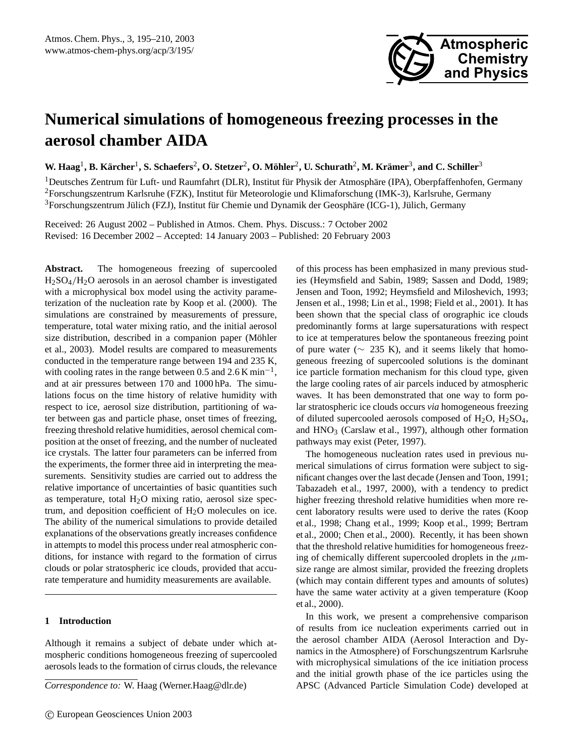

# **Numerical simulations of homogeneous freezing processes in the aerosol chamber AIDA**

 $\bf{W. Haag}^1, \bf{B. Kärcher}^1, \bf{S. Schaefers}^2, \bf{O. Stetzer}^2, \bf{O. Möhler}^2, \bf{U. Schurath}^2, \bf{M. Krämer}^3, \bf{and C. Schiller}^3$ 

 $1$ Deutsches Zentrum für Luft- und Raumfahrt (DLR), Institut für Physik der Atmosphäre (IPA), Oberpfaffenhofen, Germany <sup>2</sup>Forschungszentrum Karlsruhe (FZK), Institut für Meteorologie und Klimaforschung (IMK-3), Karlsruhe, Germany  $3$ Forschungszentrum Jülich (FZJ), Institut für Chemie und Dynamik der Geosphäre (ICG-1), Jülich, Germany

Received: 26 August 2002 – Published in Atmos. Chem. Phys. Discuss.: 7 October 2002 Revised: 16 December 2002 – Accepted: 14 January 2003 – Published: 20 February 2003

Abstract. The homogeneous freezing of supercooled H2SO4/H2O aerosols in an aerosol chamber is investigated with a microphysical box model using the activity parameterization of the nucleation rate by Koop et al. (2000). The simulations are constrained by measurements of pressure, temperature, total water mixing ratio, and the initial aerosol size distribution, described in a companion paper (Möhler et al., 2003). Model results are compared to measurements conducted in the temperature range between 194 and 235 K, with cooling rates in the range between 0.5 and  $2.6$  K min<sup>-1</sup>, and at air pressures between 170 and 1000 hPa. The simulations focus on the time history of relative humidity with respect to ice, aerosol size distribution, partitioning of water between gas and particle phase, onset times of freezing, freezing threshold relative humidities, aerosol chemical composition at the onset of freezing, and the number of nucleated ice crystals. The latter four parameters can be inferred from the experiments, the former three aid in interpreting the measurements. Sensitivity studies are carried out to address the relative importance of uncertainties of basic quantities such as temperature, total H2O mixing ratio, aerosol size spectrum, and deposition coefficient of  $H<sub>2</sub>O$  molecules on ice. The ability of the numerical simulations to provide detailed explanations of the observations greatly increases confidence in attempts to model this process under real atmospheric conditions, for instance with regard to the formation of cirrus clouds or polar stratospheric ice clouds, provided that accurate temperature and humidity measurements are available.

# **1 Introduction**

Although it remains a subject of debate under which atmospheric conditions homogeneous freezing of supercooled aerosols leads to the formation of cirrus clouds, the relevance

*Correspondence to:* W. Haag (Werner.Haag@dlr.de)

of this process has been emphasized in many previous studies (Heymsfield and Sabin, 1989; Sassen and Dodd, 1989; Jensen and Toon, 1992; Heymsfield and Miloshevich, 1993; Jensen et al., 1998; Lin et al., 1998; Field et al., 2001). It has been shown that the special class of orographic ice clouds predominantly forms at large supersaturations with respect to ice at temperatures below the spontaneous freezing point of pure water ( $\sim$  235 K), and it seems likely that homogeneous freezing of supercooled solutions is the dominant ice particle formation mechanism for this cloud type, given the large cooling rates of air parcels induced by atmospheric waves. It has been demonstrated that one way to form polar stratospheric ice clouds occurs *via* homogeneous freezing of diluted supercooled aerosols composed of  $H_2O$ ,  $H_2SO_4$ , and  $HNO<sub>3</sub>$  (Carslaw et al., 1997), although other formation pathways may exist (Peter, 1997).

The homogeneous nucleation rates used in previous numerical simulations of cirrus formation were subject to significant changes over the last decade (Jensen and Toon, 1991; Tabazadeh et al., 1997, 2000), with a tendency to predict higher freezing threshold relative humidities when more recent laboratory results were used to derive the rates (Koop et al., 1998; Chang et al., 1999; Koop et al., 1999; Bertram et al., 2000; Chen et al., 2000). Recently, it has been shown that the threshold relative humidities for homogeneous freezing of chemically different supercooled droplets in the  $\mu$ msize range are almost similar, provided the freezing droplets (which may contain different types and amounts of solutes) have the same water activity at a given temperature (Koop et al., 2000).

In this work, we present a comprehensive comparison of results from ice nucleation experiments carried out in the aerosol chamber AIDA (Aerosol Interaction and Dynamics in the Atmosphere) of Forschungszentrum Karlsruhe with microphysical simulations of the ice initiation process and the initial growth phase of the ice particles using the APSC (Advanced Particle Simulation Code) developed at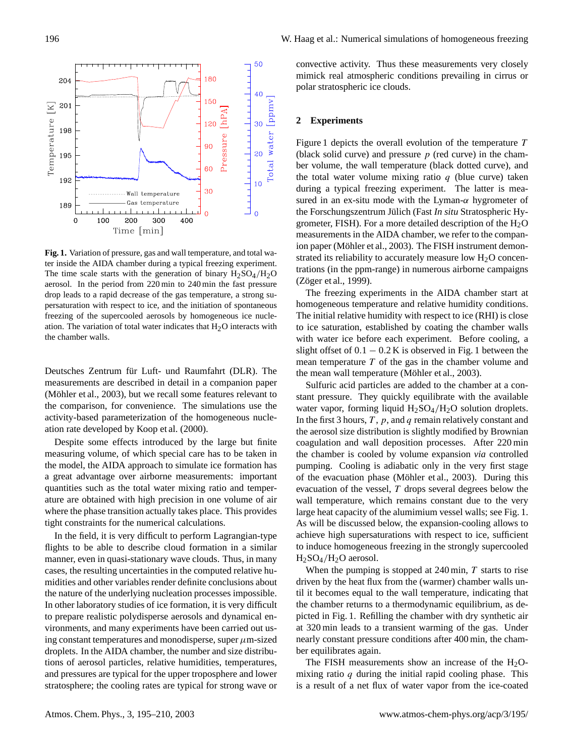

**Fig. 1.** Variation of pressure, gas and wall temperature, and total water inside the AIDA chamber during a typical freezing experiment. The time scale starts with the generation of binary  $H_2SO_4/H_2O$ aerosol. In the period from 220 min to 240 min the fast pressure drop leads to a rapid decrease of the gas temperature, a strong supersaturation with respect to ice, and the initiation of spontaneous freezing of the supercooled aerosols by homogeneous ice nucleation. The variation of total water indicates that  $H_2O$  interacts with the chamber walls.

Deutsches Zentrum für Luft- und Raumfahrt (DLR). The measurements are described in detail in a companion paper (Möhler et al., 2003), but we recall some features relevant to the comparison, for convenience. The simulations use the activity-based parameterization of the homogeneous nucleation rate developed by Koop et al. (2000).

Despite some effects introduced by the large but finite measuring volume, of which special care has to be taken in the model, the AIDA approach to simulate ice formation has a great advantage over airborne measurements: important quantities such as the total water mixing ratio and temperature are obtained with high precision in one volume of air where the phase transition actually takes place. This provides tight constraints for the numerical calculations.

In the field, it is very difficult to perform Lagrangian-type flights to be able to describe cloud formation in a similar manner, even in quasi-stationary wave clouds. Thus, in many cases, the resulting uncertainties in the computed relative humidities and other variables render definite conclusions about the nature of the underlying nucleation processes impossible. In other laboratory studies of ice formation, it is very difficult to prepare realistic polydisperse aerosols and dynamical environments, and many experiments have been carried out using constant temperatures and monodisperse, super  $\mu$ m-sized droplets. In the AIDA chamber, the number and size distributions of aerosol particles, relative humidities, temperatures, and pressures are typical for the upper troposphere and lower stratosphere; the cooling rates are typical for strong wave or convective activity. Thus these measurements very closely mimick real atmospheric conditions prevailing in cirrus or polar stratospheric ice clouds.

#### **2 Experiments**

Figure 1 depicts the overall evolution of the temperature T (black solid curve) and pressure  $p$  (red curve) in the chamber volume, the wall temperature (black dotted curve), and the total water volume mixing ratio  $q$  (blue curve) taken during a typical freezing experiment. The latter is measured in an ex-situ mode with the Lyman- $\alpha$  hygrometer of the Forschungszentrum Jülich (Fast In situ Stratospheric Hygrometer, FISH). For a more detailed description of the  $H<sub>2</sub>O$ measurements in the AIDA chamber, we refer to the companion paper (Möhler et al., 2003). The FISH instrument demonstrated its reliability to accurately measure low  $H<sub>2</sub>O$  concentrations (in the ppm-range) in numerous airborne campaigns (Zöger et al., 1999).

The freezing experiments in the AIDA chamber start at homogeneous temperature and relative humidity conditions. The initial relative humidity with respect to ice (RHI) is close to ice saturation, established by coating the chamber walls with water ice before each experiment. Before cooling, a slight offset of  $0.1 - 0.2$  K is observed in Fig. 1 between the mean temperature  $T$  of the gas in the chamber volume and the mean wall temperature (Möhler et al., 2003).

Sulfuric acid particles are added to the chamber at a constant pressure. They quickly equilibrate with the available water vapor, forming liquid  $H_2SO_4/H_2O$  solution droplets. In the first 3 hours,  $T$ ,  $p$ , and  $q$  remain relatively constant and the aerosol size distribution is slightly modified by Brownian coagulation and wall deposition processes. After 220 min the chamber is cooled by volume expansion *via* controlled pumping. Cooling is adiabatic only in the very first stage of the evacuation phase (Möhler et al., 2003). During this evacuation of the vessel,  $T$  drops several degrees below the wall temperature, which remains constant due to the very large heat capacity of the alumimium vessel walls; see Fig. 1. As will be discussed below, the expansion-cooling allows to achieve high supersaturations with respect to ice, sufficient to induce homogeneous freezing in the strongly supercooled  $H<sub>2</sub>SO<sub>4</sub>/H<sub>2</sub>O$  aerosol.

When the pumping is stopped at  $240 \text{ min}$ , T starts to rise driven by the heat flux from the (warmer) chamber walls until it becomes equal to the wall temperature, indicating that the chamber returns to a thermodynamic equilibrium, as depicted in Fig. 1. Refilling the chamber with dry synthetic air at 320 min leads to a transient warming of the gas. Under nearly constant pressure conditions after 400 min, the chamber equilibrates again.

The FISH measurements show an increase of the  $H<sub>2</sub>O$ mixing ratio  $q$  during the initial rapid cooling phase. This is a result of a net flux of water vapor from the ice-coated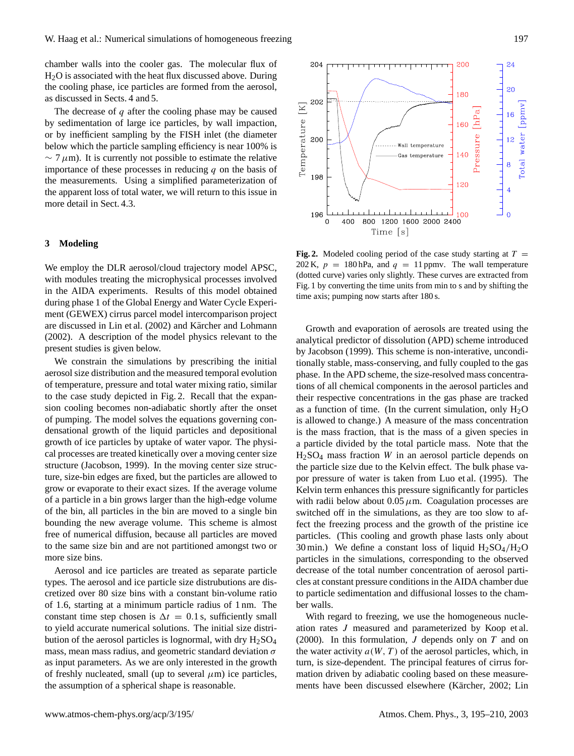chamber walls into the cooler gas. The molecular flux of  $H<sub>2</sub>O$  is associated with the heat flux discussed above. During the cooling phase, ice particles are formed from the aerosol, as discussed in Sects. 4 and 5.

The decrease of  $q$  after the cooling phase may be caused by sedimentation of large ice particles, by wall impaction, or by inefficient sampling by the FISH inlet (the diameter below which the particle sampling efficiency is near 100% is  $\sim$  7  $\mu$ m). It is currently not possible to estimate the relative importance of these processes in reducing  $q$  on the basis of the measurements. Using a simplified parameterization of the apparent loss of total water, we will return to this issue in more detail in Sect. 4.3.

## **3 Modeling**

We employ the DLR aerosol/cloud trajectory model APSC, with modules treating the microphysical processes involved in the AIDA experiments. Results of this model obtained during phase 1 of the Global Energy and Water Cycle Experiment (GEWEX) cirrus parcel model intercomparison project are discussed in Lin et al. (2002) and Kärcher and Lohmann (2002). A description of the model physics relevant to the present studies is given below.

We constrain the simulations by prescribing the initial aerosol size distribution and the measured temporal evolution of temperature, pressure and total water mixing ratio, similar to the case study depicted in Fig. 2. Recall that the expansion cooling becomes non-adiabatic shortly after the onset of pumping. The model solves the equations governing condensational growth of the liquid particles and depositional growth of ice particles by uptake of water vapor. The physical processes are treated kinetically over a moving center size structure (Jacobson, 1999). In the moving center size structure, size-bin edges are fixed, but the particles are allowed to grow or evaporate to their exact sizes. If the average volume of a particle in a bin grows larger than the high-edge volume of the bin, all particles in the bin are moved to a single bin bounding the new average volume. This scheme is almost free of numerical diffusion, because all particles are moved to the same size bin and are not partitioned amongst two or more size bins.

Aerosol and ice particles are treated as separate particle types. The aerosol and ice particle size distrubutions are discretized over 80 size bins with a constant bin-volume ratio of 1.6, starting at a minimum particle radius of 1 nm. The constant time step chosen is  $\Delta t = 0.1$  s, sufficiently small to yield accurate numerical solutions. The initial size distribution of the aerosol particles is lognormal, with dry  $H_2SO_4$ mass, mean mass radius, and geometric standard deviation  $\sigma$ as input parameters. As we are only interested in the growth of freshly nucleated, small (up to several  $\mu$ m) ice particles, the assumption of a spherical shape is reasonable.



Growth and evaporation of aerosols are treated using the analytical predictor of dissolution (APD) scheme introduced by Jacobson (1999). This scheme is non-interative, unconditionally stable, mass-conserving, and fully coupled to the gas phase. In the APD scheme, the size-resolved mass concentrations of all chemical components in the aerosol particles and their respective concentrations in the gas phase are tracked as a function of time. (In the current simulation, only  $H_2O$ is allowed to change.) A measure of the mass concentration is the mass fraction, that is the mass of a given species in a particle divided by the total particle mass. Note that the  $H<sub>2</sub>SO<sub>4</sub>$  mass fraction W in an aerosol particle depends on the particle size due to the Kelvin effect. The bulk phase vapor pressure of water is taken from Luo et al. (1995). The Kelvin term enhances this pressure significantly for particles with radii below about  $0.05 \mu$ m. Coagulation processes are switched off in the simulations, as they are too slow to affect the freezing process and the growth of the pristine ice particles. (This cooling and growth phase lasts only about 30 min.) We define a constant loss of liquid  $H_2SO_4/H_2O$ particles in the simulations, corresponding to the observed decrease of the total number concentration of aerosol particles at constant pressure conditions in the AIDA chamber due to particle sedimentation and diffusional losses to the chamber walls.

With regard to freezing, we use the homogeneous nucleation rates J measured and parameterized by Koop et al. (2000). In this formulation,  $J$  depends only on  $T$  and on the water activity  $a(W, T)$  of the aerosol particles, which, in turn, is size-dependent. The principal features of cirrus formation driven by adiabatic cooling based on these measurements have been discussed elsewhere (Kärcher, 2002; Lin

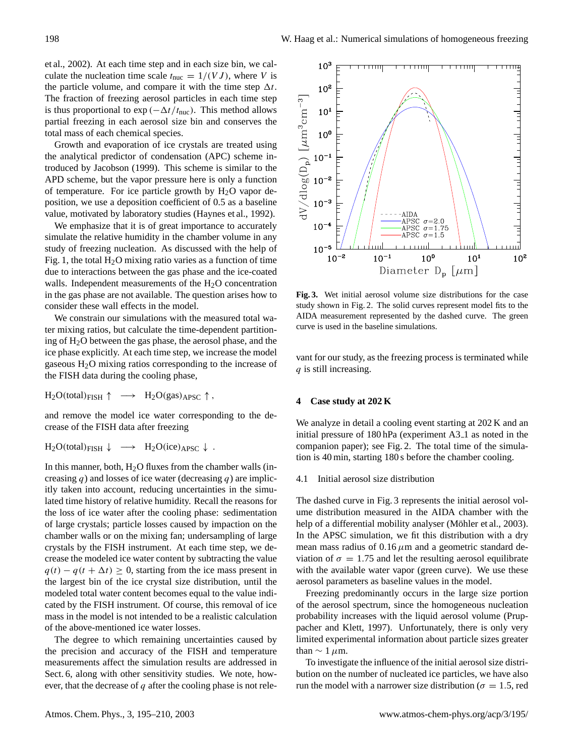et al., 2002). At each time step and in each size bin, we calculate the nucleation time scale  $t_{\text{nuc}} = 1/(VJ)$ , where V is the particle volume, and compare it with the time step  $\Delta t$ . The fraction of freezing aerosol particles in each time step is thus proportional to  $\exp(-\Delta t/t_{\text{nuc}})$ . This method allows partial freezing in each aerosol size bin and conserves the total mass of each chemical species.

Growth and evaporation of ice crystals are treated using the analytical predictor of condensation (APC) scheme introduced by Jacobson (1999). This scheme is similar to the APD scheme, but the vapor pressure here is only a function of temperature. For ice particle growth by  $H_2O$  vapor deposition, we use a deposition coefficient of 0.5 as a baseline value, motivated by laboratory studies (Haynes et al., 1992).

We emphasize that it is of great importance to accurately simulate the relative humidity in the chamber volume in any study of freezing nucleation. As discussed with the help of Fig. 1, the total  $H_2O$  mixing ratio varies as a function of time due to interactions between the gas phase and the ice-coated walls. Independent measurements of the  $H_2O$  concentration in the gas phase are not available. The question arises how to consider these wall effects in the model.

We constrain our simulations with the measured total water mixing ratios, but calculate the time-dependent partitioning of H2O between the gas phase, the aerosol phase, and the ice phase explicitly. At each time step, we increase the model gaseous H2O mixing ratios corresponding to the increase of the FISH data during the cooling phase,

 $H_2O(\text{total})_{FISH} \uparrow \rightarrow H_2O(gas)_{APSC} \uparrow$ ,

and remove the model ice water corresponding to the decrease of the FISH data after freezing

 $H_2O(\text{total})_{\text{FISH}} \downarrow \rightarrow H_2O(\text{ice})_{\text{APSC}} \downarrow$ .

In this manner, both,  $H<sub>2</sub>O$  fluxes from the chamber walls (increasing q) and losses of ice water (decreasing q) are implicitly taken into account, reducing uncertainties in the simulated time history of relative humidity. Recall the reasons for the loss of ice water after the cooling phase: sedimentation of large crystals; particle losses caused by impaction on the chamber walls or on the mixing fan; undersampling of large crystals by the FISH instrument. At each time step, we decrease the modeled ice water content by subtracting the value  $q(t) - q(t + \Delta t) \geq 0$ , starting from the ice mass present in the largest bin of the ice crystal size distribution, until the modeled total water content becomes equal to the value indicated by the FISH instrument. Of course, this removal of ice mass in the model is not intended to be a realistic calculation of the above-mentioned ice water losses.

The degree to which remaining uncertainties caused by the precision and accuracy of the FISH and temperature measurements affect the simulation results are addressed in Sect. 6, along with other sensitivity studies. We note, however, that the decrease of  $q$  after the cooling phase is not rele-



**Fig. 3.** Wet initial aerosol volume size distributions for the case study shown in Fig. 2. The solid curves represent model fits to the AIDA measurement represented by the dashed curve. The green curve is used in the baseline simulations.

vant for our study, as the freezing process is terminated while q is still increasing.

# **4 Case study at 202 K**

We analyze in detail a cooling event starting at 202 K and an initial pressure of 180 hPa (experiment A3<sub>-1</sub> as noted in the companion paper); see Fig. 2. The total time of the simulation is 40 min, starting 180 s before the chamber cooling.

4.1 Initial aerosol size distribution

The dashed curve in Fig. 3 represents the initial aerosol volume distribution measured in the AIDA chamber with the help of a differential mobility analyser (Möhler et al., 2003). In the APSC simulation, we fit this distribution with a dry mean mass radius of  $0.16 \mu m$  and a geometric standard deviation of  $\sigma = 1.75$  and let the resulting aerosol equilibrate with the available water vapor (green curve). We use these aerosol parameters as baseline values in the model.

Freezing predominantly occurs in the large size portion of the aerosol spectrum, since the homogeneous nucleation probability increases with the liquid aerosol volume (Pruppacher and Klett, 1997). Unfortunately, there is only very limited experimental information about particle sizes greater than  $\sim 1 \mu$ m.

To investigate the influence of the initial aerosol size distribution on the number of nucleated ice particles, we have also run the model with a narrower size distribution ( $\sigma = 1.5$ , red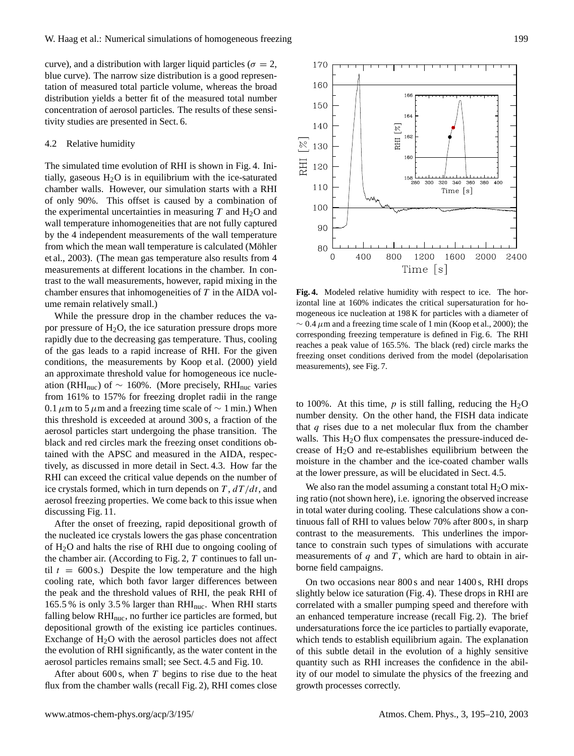curve), and a distribution with larger liquid particles ( $\sigma = 2$ , blue curve). The narrow size distribution is a good representation of measured total particle volume, whereas the broad distribution yields a better fit of the measured total number concentration of aerosol particles. The results of these sensitivity studies are presented in Sect. 6.

# 4.2 Relative humidity

The simulated time evolution of RHI is shown in Fig. 4. Initially, gaseous  $H_2O$  is in equilibrium with the ice-saturated chamber walls. However, our simulation starts with a RHI of only 90%. This offset is caused by a combination of the experimental uncertainties in measuring  $T$  and  $H_2O$  and wall temperature inhomogeneities that are not fully captured by the 4 independent measurements of the wall temperature from which the mean wall temperature is calculated (Möhler et al., 2003). (The mean gas temperature also results from 4 measurements at different locations in the chamber. In contrast to the wall measurements, however, rapid mixing in the chamber ensures that inhomogeneities of  $T$  in the AIDA volume remain relatively small.)

While the pressure drop in the chamber reduces the vapor pressure of  $H_2O$ , the ice saturation pressure drops more rapidly due to the decreasing gas temperature. Thus, cooling of the gas leads to a rapid increase of RHI. For the given conditions, the measurements by Koop et al. (2000) yield an approximate threshold value for homogeneous ice nucleation (RHI<sub>nuc</sub>) of ~ 160%. (More precisely, RHI<sub>nuc</sub> varies from 161% to 157% for freezing droplet radii in the range 0.1  $\mu$ m to 5  $\mu$ m and a freezing time scale of ~ 1 min.) When this threshold is exceeded at around 300 s, a fraction of the aerosol particles start undergoing the phase transition. The black and red circles mark the freezing onset conditions obtained with the APSC and measured in the AIDA, respectively, as discussed in more detail in Sect. 4.3. How far the RHI can exceed the critical value depends on the number of ice crystals formed, which in turn depends on  $T$ ,  $dT/dt$ , and aerosol freezing properties. We come back to this issue when discussing Fig. 11.

After the onset of freezing, rapid depositional growth of the nucleated ice crystals lowers the gas phase concentration of H2O and halts the rise of RHI due to ongoing cooling of the chamber air. (According to Fig. 2,  $T$  continues to fall until  $t = 600$  s.) Despite the low temperature and the high cooling rate, which both favor larger differences between the peak and the threshold values of RHI, the peak RHI of 165.5 % is only 3.5 % larger than  $RHI_{\text{nuc}}$ . When RHI starts falling below RHI<sub>nuc</sub>, no further ice particles are formed, but depositional growth of the existing ice particles continues. Exchange of  $H_2O$  with the aerosol particles does not affect the evolution of RHI significantly, as the water content in the aerosol particles remains small; see Sect. 4.5 and Fig. 10.

After about 600 s, when  $T$  begins to rise due to the heat flux from the chamber walls (recall Fig. 2), RHI comes close



**Fig. 4.** Modeled relative humidity with respect to ice. The horizontal line at 160% indicates the critical supersaturation for homogeneous ice nucleation at 198 K for particles with a diameter of  $\sim 0.4 \mu$ m and a freezing time scale of 1 min (Koop et al., 2000); the corresponding freezing temperature is defined in Fig. 6. The RHI reaches a peak value of 165.5%. The black (red) circle marks the freezing onset conditions derived from the model (depolarisation measurements), see Fig. 7.

to 100%. At this time,  $p$  is still falling, reducing the  $H_2O$ number density. On the other hand, the FISH data indicate that  $q$  rises due to a net molecular flux from the chamber walls. This  $H<sub>2</sub>O$  flux compensates the pressure-induced decrease of  $H_2O$  and re-establishes equilibrium between the moisture in the chamber and the ice-coated chamber walls at the lower pressure, as will be elucidated in Sect. 4.5.

We also ran the model assuming a constant total  $H_2O$  mixing ratio (not shown here), i.e. ignoring the observed increase in total water during cooling. These calculations show a continuous fall of RHI to values below 70% after 800 s, in sharp contrast to the measurements. This underlines the importance to constrain such types of simulations with accurate measurements of  $q$  and  $T$ , which are hard to obtain in airborne field campaigns.

On two occasions near 800 s and near 1400 s, RHI drops slightly below ice saturation (Fig. 4). These drops in RHI are correlated with a smaller pumping speed and therefore with an enhanced temperature increase (recall Fig. 2). The brief undersaturations force the ice particles to partially evaporate, which tends to establish equilibrium again. The explanation of this subtle detail in the evolution of a highly sensitive quantity such as RHI increases the confidence in the ability of our model to simulate the physics of the freezing and growth processes correctly.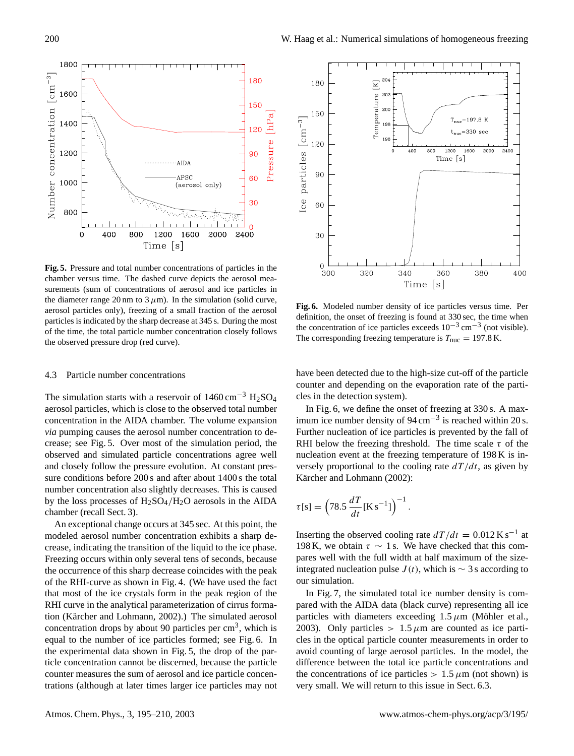

**Fig. 5.** Pressure and total number concentrations of particles in the chamber versus time. The dashed curve depicts the aerosol measurements (sum of concentrations of aerosol and ice particles in the diameter range 20 nm to  $3 \mu$ m). In the simulation (solid curve, aerosol particles only), freezing of a small fraction of the aerosol particles is indicated by the sharp decrease at 345 s. During the most of the time, the total particle number concentration closely follows the observed pressure drop (red curve).

## 4.3 Particle number concentrations

The simulation starts with a reservoir of  $1460 \text{ cm}^{-3} \text{ H}_2\text{SO}_4$ aerosol particles, which is close to the observed total number concentration in the AIDA chamber. The volume expansion *via* pumping causes the aerosol number concentration to decrease; see Fig. 5. Over most of the simulation period, the observed and simulated particle concentrations agree well and closely follow the pressure evolution. At constant pressure conditions before 200 s and after about 1400 s the total number concentration also slightly decreases. This is caused by the loss processes of  $H_2SO_4/H_2O$  aerosols in the AIDA chamber (recall Sect. 3).

An exceptional change occurs at 345 sec. At this point, the modeled aerosol number concentration exhibits a sharp decrease, indicating the transition of the liquid to the ice phase. Freezing occurs within only several tens of seconds, because the occurrence of this sharp decrease coincides with the peak of the RHI-curve as shown in Fig. 4. (We have used the fact that most of the ice crystals form in the peak region of the RHI curve in the analytical parameterization of cirrus formation (Kärcher and Lohmann, 2002).) The simulated aerosol concentration drops by about 90 particles per  $\text{cm}^3$ , which is equal to the number of ice particles formed; see Fig. 6. In the experimental data shown in Fig. 5, the drop of the particle concentration cannot be discerned, because the particle counter measures the sum of aerosol and ice particle concentrations (although at later times larger ice particles may not



**Fig. 6.** Modeled number density of ice particles versus time. Per definition, the onset of freezing is found at 330 sec, the time when the concentration of ice particles exceeds  $10^{-3}$  cm<sup>-3</sup> (not visible). The corresponding freezing temperature is  $T_{\text{nuc}} = 197.8 \text{ K}.$ 

have been detected due to the high-size cut-off of the particle counter and depending on the evaporation rate of the particles in the detection system).

In Fig. 6, we define the onset of freezing at 330 s. A maximum ice number density of 94 cm−<sup>3</sup> is reached within 20 s. Further nucleation of ice particles is prevented by the fall of RHI below the freezing threshold. The time scale  $\tau$  of the nucleation event at the freezing temperature of 198 K is inversely proportional to the cooling rate  $dT/dt$ , as given by Kärcher and Lohmann (2002):

$$
\tau[s] = \left(78.5 \, \frac{dT}{dt} [\text{K s}^{-1}]\right)^{-1}.
$$

Inserting the observed cooling rate  $dT/dt = 0.012$  K s<sup>-1</sup> at 198 K, we obtain  $\tau \sim 1$  s. We have checked that this compares well with the full width at half maximum of the sizeintegrated nucleation pulse  $J(t)$ , which is ∼ 3 s according to our simulation.

In Fig. 7, the simulated total ice number density is compared with the AIDA data (black curve) representing all ice particles with diameters exceeding  $1.5 \mu m$  (Möhler et al., 2003). Only particles  $> 1.5 \mu m$  are counted as ice particles in the optical particle counter measurements in order to avoid counting of large aerosol particles. In the model, the difference between the total ice particle concentrations and the concentrations of ice particles  $> 1.5 \mu$ m (not shown) is very small. We will return to this issue in Sect. 6.3.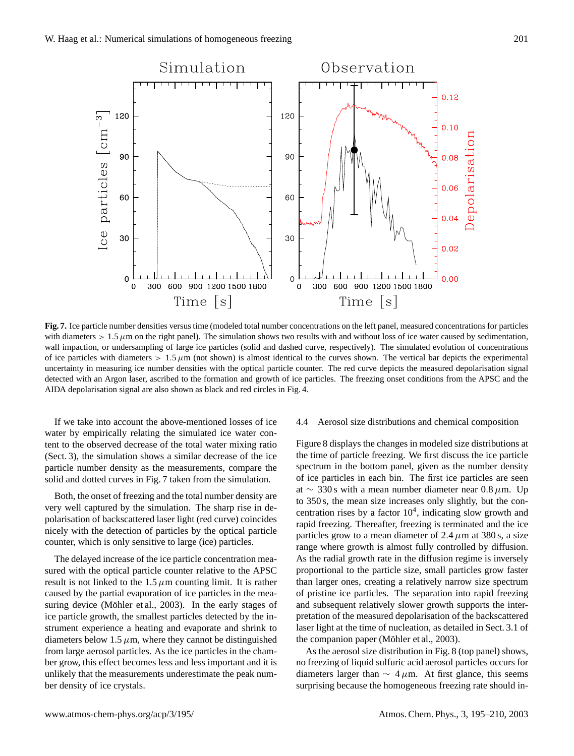

**Fig. 7.** Ice particle number densities versus time (modeled total number concentrations on the left panel, measured concentrations for particles with diameters  $> 1.5 \mu$ m on the right panel). The simulation shows two results with and without loss of ice water caused by sedimentation, wall impaction, or undersampling of large ice particles (solid and dashed curve, respectively). The simulated evolution of concentrations of ice particles with diameters  $> 1.5 \mu m$  (not shown) is almost identical to the curves shown. The vertical bar depicts the experimental uncertainty in measuring ice number densities with the optical particle counter. The red curve depicts the measured depolarisation signal detected with an Argon laser, ascribed to the formation and growth of ice particles. The freezing onset conditions from the APSC and the AIDA depolarisation signal are also shown as black and red circles in Fig. 4.

If we take into account the above-mentioned losses of ice water by empirically relating the simulated ice water content to the observed decrease of the total water mixing ratio (Sect. 3), the simulation shows a similar decrease of the ice particle number density as the measurements, compare the solid and dotted curves in Fig. 7 taken from the simulation.

Both, the onset of freezing and the total number density are very well captured by the simulation. The sharp rise in depolarisation of backscattered laser light (red curve) coincides nicely with the detection of particles by the optical particle counter, which is only sensitive to large (ice) particles.

The delayed increase of the ice particle concentration measured with the optical particle counter relative to the APSC result is not linked to the  $1.5 \mu$ m counting limit. It is rather caused by the partial evaporation of ice particles in the measuring device (Möhler et al., 2003). In the early stages of ice particle growth, the smallest particles detected by the instrument experience a heating and evaporate and shrink to diameters below 1.5  $\mu$ m, where they cannot be distinguished from large aerosol particles. As the ice particles in the chamber grow, this effect becomes less and less important and it is unlikely that the measurements underestimate the peak number density of ice crystals.

# 4.4 Aerosol size distributions and chemical composition

Figure 8 displays the changes in modeled size distributions at the time of particle freezing. We first discuss the ice particle spectrum in the bottom panel, given as the number density of ice particles in each bin. The first ice particles are seen at ∼ 330 s with a mean number diameter near 0.8  $\mu$ m. Up to 350 s, the mean size increases only slightly, but the concentration rises by a factor  $10<sup>4</sup>$ , indicating slow growth and rapid freezing. Thereafter, freezing is terminated and the ice particles grow to a mean diameter of 2.4  $\mu$ m at 380 s, a size range where growth is almost fully controlled by diffusion. As the radial growth rate in the diffusion regime is inversely proportional to the particle size, small particles grow faster than larger ones, creating a relatively narrow size spectrum of pristine ice particles. The separation into rapid freezing and subsequent relatively slower growth supports the interpretation of the measured depolarisation of the backscattered laser light at the time of nucleation, as detailed in Sect. 3.1 of the companion paper (Möhler et al., 2003).

As the aerosol size distribution in Fig. 8 (top panel) shows, no freezing of liquid sulfuric acid aerosol particles occurs for diameters larger than  $\sim$  4  $\mu$ m. At first glance, this seems surprising because the homogeneous freezing rate should in-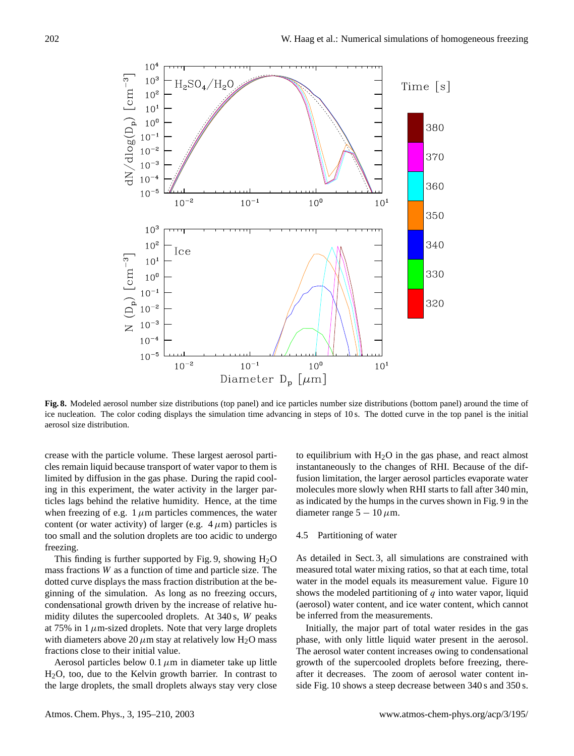

**Fig. 8.** Modeled aerosol number size distributions (top panel) and ice particles number size distributions (bottom panel) around the time of ice nucleation. The color coding displays the simulation time advancing in steps of 10 s. The dotted curve in the top panel is the initial aerosol size distribution.

crease with the particle volume. These largest aerosol particles remain liquid because transport of water vapor to them is limited by diffusion in the gas phase. During the rapid cooling in this experiment, the water activity in the larger particles lags behind the relative humidity. Hence, at the time when freezing of e.g.  $1 \mu m$  particles commences, the water content (or water activity) of larger (e.g.  $4 \mu m$ ) particles is too small and the solution droplets are too acidic to undergo freezing.

This finding is further supported by Fig. 9, showing  $H_2O$ mass fractions W as a function of time and particle size. The dotted curve displays the mass fraction distribution at the beginning of the simulation. As long as no freezing occurs, condensational growth driven by the increase of relative humidity dilutes the supercooled droplets. At 340 s, W peaks at 75% in  $1 \mu$ m-sized droplets. Note that very large droplets with diameters above 20  $\mu$ m stay at relatively low H<sub>2</sub>O mass fractions close to their initial value.

Aerosol particles below  $0.1 \mu m$  in diameter take up little H2O, too, due to the Kelvin growth barrier. In contrast to the large droplets, the small droplets always stay very close to equilibrium with  $H_2O$  in the gas phase, and react almost instantaneously to the changes of RHI. Because of the diffusion limitation, the larger aerosol particles evaporate water molecules more slowly when RHI starts to fall after 340 min, as indicated by the humps in the curves shown in Fig. 9 in the diameter range  $5 - 10 \,\mu$ m.

## 4.5 Partitioning of water

As detailed in Sect. 3, all simulations are constrained with measured total water mixing ratios, so that at each time, total water in the model equals its measurement value. Figure 10 shows the modeled partitioning of  $q$  into water vapor, liquid (aerosol) water content, and ice water content, which cannot be inferred from the measurements.

Initially, the major part of total water resides in the gas phase, with only little liquid water present in the aerosol. The aerosol water content increases owing to condensational growth of the supercooled droplets before freezing, thereafter it decreases. The zoom of aerosol water content inside Fig. 10 shows a steep decrease between 340 s and 350 s.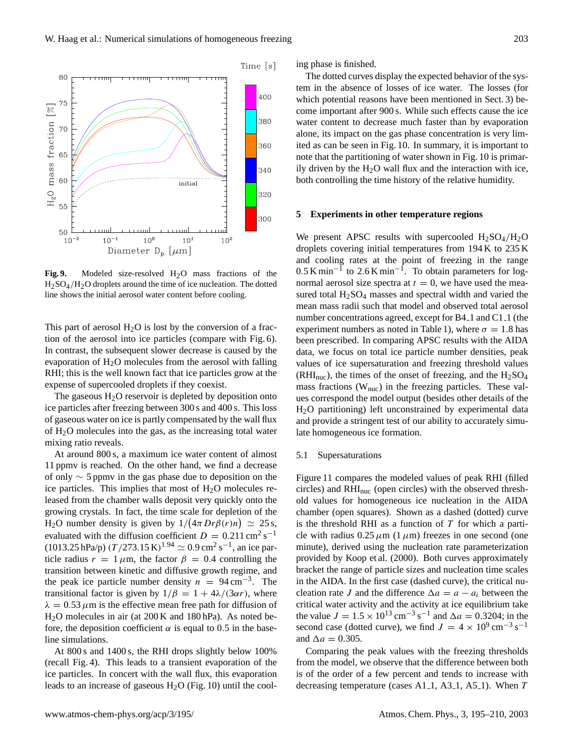

Fig. 9. Modeled size-resolved H<sub>2</sub>O mass fractions of the  $H<sub>2</sub>SO<sub>4</sub>/H<sub>2</sub>O$  droplets around the time of ice nucleation. The dotted line shows the initial aerosol water content before cooling.

This part of aerosol  $H<sub>2</sub>O$  is lost by the conversion of a fraction of the aerosol into ice particles (compare with Fig. 6). In contrast, the subsequent slower decrease is caused by the evaporation of  $H_2O$  molecules from the aerosol with falling RHI; this is the well known fact that ice particles grow at the expense of supercooled droplets if they coexist.

The gaseous  $H_2O$  reservoir is depleted by deposition onto ice particles after freezing between 300 s and 400 s. This loss of gaseous water on ice is partly compensated by the wall flux of  $H<sub>2</sub>O$  molecules into the gas, as the increasing total water mixing ratio reveals.

At around 800 s, a maximum ice water content of almost 11 ppmv is reached. On the other hand, we find a decrease of only ∼ 5 ppmv in the gas phase due to deposition on the ice particles. This implies that most of  $H<sub>2</sub>O$  molecules released from the chamber walls deposit very quickly onto the growing crystals. In fact, the time scale for depletion of the H<sub>2</sub>O number density is given by  $1/(4\pi Dr\beta(r)n) \approx 25$  s, evaluated with the diffusion coefficient  $D = 0.211 \text{ cm}^2 \text{ s}^{-1}$  $(1013.25 \,\text{hPa/p}) (T/273.15 \,\text{K})^{1.94} \simeq 0.9 \,\text{cm}^2 \,\text{s}^{-1}$ , an ice particle radius  $r = 1 \mu m$ , the factor  $\beta = 0.4$  controlling the transition between kinetic and diffusive growth regime, and the peak ice particle number density  $n = 94 \text{ cm}^{-3}$ . The transitional factor is given by  $1/\beta = 1 + 4\lambda/(3\alpha r)$ , where  $\lambda = 0.53 \,\mu \text{m}$  is the effective mean free path for diffusion of H2O molecules in air (at 200 K and 180 hPa). As noted before, the deposition coefficient  $\alpha$  is equal to 0.5 in the baseline simulations.

At 800 s and 1400 s, the RHI drops slightly below 100% (recall Fig. 4). This leads to a transient evaporation of the ice particles. In concert with the wall flux, this evaporation leads to an increase of gaseous  $H<sub>2</sub>O$  (Fig. 10) until the cooling phase is finished.

The dotted curves display the expected behavior of the system in the absence of losses of ice water. The losses (for which potential reasons have been mentioned in Sect. 3) become important after 900 s. While such effects cause the ice water content to decrease much faster than by evaporation alone, its impact on the gas phase concentration is very limited as can be seen in Fig. 10. In summary, it is important to note that the partitioning of water shown in Fig. 10 is primarily driven by the  $H_2O$  wall flux and the interaction with ice, both controlling the time history of the relative humidity.

# **5 Experiments in other temperature regions**

We present APSC results with supercooled  $H_2SO_4/H_2O$ droplets covering initial temperatures from 194 K to 235 K and cooling rates at the point of freezing in the range  $0.5 \text{ K min}^{-1}$  to 2.6 K min<sup>-1</sup>. To obtain parameters for lognormal aerosol size spectra at  $t = 0$ , we have used the measured total  $H_2SO_4$  masses and spectral width and varied the mean mass radii such that model and observed total aerosol number concentrations agreed, except for B4<sub>-1</sub> and C<sub>1-1</sub> (the experiment numbers as noted in Table 1), where  $\sigma = 1.8$  has been prescribed. In comparing APSC results with the AIDA data, we focus on total ice particle number densities, peak values of ice supersaturation and freezing threshold values  $(RHI<sub>nuc</sub>)$ , the times of the onset of freezing, and the  $H<sub>2</sub>SO<sub>4</sub>$ mass fractions (Wnuc) in the freezing particles. These values correspond the model output (besides other details of the H2O partitioning) left unconstrained by experimental data and provide a stringent test of our ability to accurately simulate homogeneous ice formation.

#### 5.1 Supersaturations

Figure 11 compares the modeled values of peak RHI (filled circles) and RHInuc (open circles) with the observed threshold values for homogeneous ice nucleation in the AIDA chamber (open squares). Shown as a dashed (dotted) curve is the threshold RHI as a function of  $T$  for which a particle with radius  $0.25 \mu m$  (1  $\mu$ m) freezes in one second (one minute), derived using the nucleation rate parameterization provided by Koop et al. (2000). Both curves approximately bracket the range of particle sizes and nucleation time scales in the AIDA. In the first case (dashed curve), the critical nucleation rate J and the difference  $\Delta a = a - a_i$  between the critical water activity and the activity at ice equilibrium take the value  $J = 1.5 \times 10^{13} \text{ cm}^{-3} \text{ s}^{-1}$  and  $\Delta a = 0.3204$ ; in the second case (dotted curve), we find  $J = 4 \times 10^9 \text{ cm}^{-3} \text{ s}^{-1}$ and  $\Delta a = 0.305$ .

Comparing the peak values with the freezing thresholds from the model, we observe that the difference between both is of the order of a few percent and tends to increase with decreasing temperature (cases A1 $-1$ , A3 $-1$ , A5 $-1$ ). When T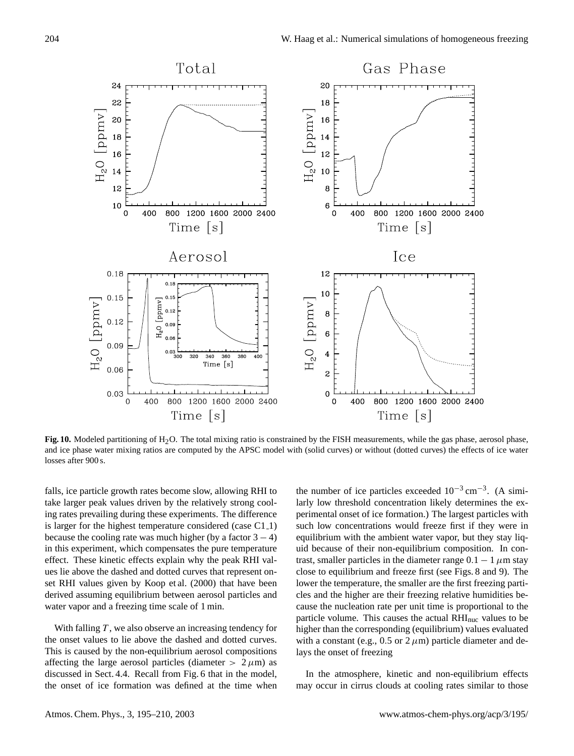

Fig. 10. Modeled partitioning of H<sub>2</sub>O. The total mixing ratio is constrained by the FISH measurements, while the gas phase, aerosol phase, and ice phase water mixing ratios are computed by the APSC model with (solid curves) or without (dotted curves) the effects of ice water losses after 900 s.

falls, ice particle growth rates become slow, allowing RHI to take larger peak values driven by the relatively strong cooling rates prevailing during these experiments. The difference is larger for the highest temperature considered (case C1\_1) because the cooling rate was much higher (by a factor  $3 - 4$ ) in this experiment, which compensates the pure temperature effect. These kinetic effects explain why the peak RHI values lie above the dashed and dotted curves that represent onset RHI values given by Koop et al. (2000) that have been derived assuming equilibrium between aerosol particles and water vapor and a freezing time scale of 1 min.

With falling  $T$ , we also observe an increasing tendency for the onset values to lie above the dashed and dotted curves. This is caused by the non-equilibrium aerosol compositions affecting the large aerosol particles (diameter  $> 2 \mu m$ ) as discussed in Sect. 4.4. Recall from Fig. 6 that in the model, the onset of ice formation was defined at the time when

the number of ice particles exceeded  $10^{-3}$  cm<sup>-3</sup>. (A similarly low threshold concentration likely determines the experimental onset of ice formation.) The largest particles with such low concentrations would freeze first if they were in equilibrium with the ambient water vapor, but they stay liquid because of their non-equilibrium composition. In contrast, smaller particles in the diameter range  $0.1 - 1 \mu$ m stay close to equilibrium and freeze first (see Figs. 8 and 9). The lower the temperature, the smaller are the first freezing particles and the higher are their freezing relative humidities because the nucleation rate per unit time is proportional to the particle volume. This causes the actual RHI<sub>nuc</sub> values to be higher than the corresponding (equilibrium) values evaluated with a constant (e.g.,  $0.5$  or  $2 \mu m$ ) particle diameter and delays the onset of freezing

In the atmosphere, kinetic and non-equilibrium effects may occur in cirrus clouds at cooling rates similar to those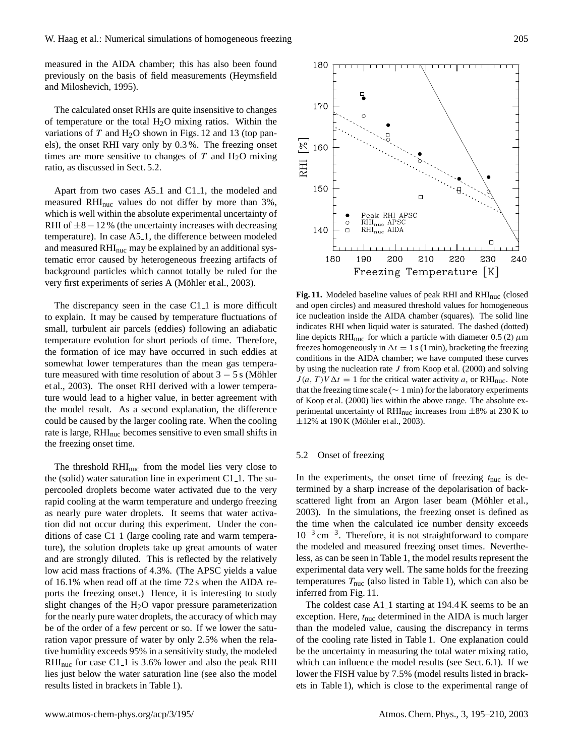measured in the AIDA chamber; this has also been found previously on the basis of field measurements (Heymsfield and Miloshevich, 1995).

The calculated onset RHIs are quite insensitive to changes of temperature or the total  $H_2O$  mixing ratios. Within the variations of  $T$  and  $H_2O$  shown in Figs. 12 and 13 (top panels), the onset RHI vary only by 0.3 %. The freezing onset times are more sensitive to changes of  $T$  and  $H_2O$  mixing ratio, as discussed in Sect. 5.2.

Apart from two cases A5<sub>-1</sub> and C1<sub>-1</sub>, the modeled and measured RHInuc values do not differ by more than 3%, which is well within the absolute experimental uncertainty of RHI of  $\pm$ 8 − 12 % (the uncertainty increases with decreasing temperature). In case A5<sub>-1</sub>, the difference between modeled and measured  $RHI_{\text{nuc}}$  may be explained by an additional systematic error caused by heterogeneous freezing artifacts of background particles which cannot totally be ruled for the very first experiments of series A (Möhler et al., 2003).

The discrepancy seen in the case  $C1_1$  is more difficult to explain. It may be caused by temperature fluctuations of small, turbulent air parcels (eddies) following an adiabatic temperature evolution for short periods of time. Therefore, the formation of ice may have occurred in such eddies at somewhat lower temperatures than the mean gas temperature measured with time resolution of about  $3 - 5$  s (Möhler et al., 2003). The onset RHI derived with a lower temperature would lead to a higher value, in better agreement with the model result. As a second explanation, the difference could be caused by the larger cooling rate. When the cooling rate is large, RHI<sub>nuc</sub> becomes sensitive to even small shifts in the freezing onset time.

The threshold RHInuc from the model lies very close to the (solid) water saturation line in experiment  $C1_1$ . The supercooled droplets become water activated due to the very rapid cooling at the warm temperature and undergo freezing as nearly pure water droplets. It seems that water activation did not occur during this experiment. Under the conditions of case C1<sub>-1</sub> (large cooling rate and warm temperature), the solution droplets take up great amounts of water and are strongly diluted. This is reflected by the relatively low acid mass fractions of 4.3%. (The APSC yields a value of 16.1% when read off at the time 72 s when the AIDA reports the freezing onset.) Hence, it is interesting to study slight changes of the  $H<sub>2</sub>O$  vapor pressure parameterization for the nearly pure water droplets, the accuracy of which may be of the order of a few percent or so. If we lower the saturation vapor pressure of water by only 2.5% when the relative humidity exceeds 95% in a sensitivity study, the modeled  $RHI<sub>nuc</sub>$  for case C1<sub>-1</sub> is 3.6% lower and also the peak RHI lies just below the water saturation line (see also the model results listed in brackets in Table 1).



Fig. 11. Modeled baseline values of peak RHI and RHI<sub>nuc</sub> (closed and open circles) and measured threshold values for homogeneous ice nucleation inside the AIDA chamber (squares). The solid line indicates RHI when liquid water is saturated. The dashed (dotted) line depicts RHI<sub>nuc</sub> for which a particle with diameter 0.5 (2)  $\mu$ m freezes homogeneously in  $\Delta t = 1$  s (1 min), bracketing the freezing conditions in the AIDA chamber; we have computed these curves by using the nucleation rate  $J$  from Koop et al. (2000) and solving  $J(a, T) V \Delta t = 1$  for the critical water activity a, or RHI<sub>nuc</sub>. Note that the freezing time scale ( $\sim 1$  min) for the laboratory experiments of Koop et al. (2000) lies within the above range. The absolute experimental uncertainty of RHI<sub>nuc</sub> increases from  $\pm 8\%$  at 230 K to  $\pm 12\%$  at 190 K (Möhler et al., 2003).

## 5.2 Onset of freezing

In the experiments, the onset time of freezing  $t_{\text{nuc}}$  is determined by a sharp increase of the depolarisation of backscattered light from an Argon laser beam (Möhler et al., 2003). In the simulations, the freezing onset is defined as the time when the calculated ice number density exceeds 10−<sup>3</sup> cm−<sup>3</sup> . Therefore, it is not straightforward to compare the modeled and measured freezing onset times. Nevertheless, as can be seen in Table 1, the model results represent the experimental data very well. The same holds for the freezing temperatures  $T_{\text{nuc}}$  (also listed in Table 1), which can also be inferred from Fig. 11.

The coldest case A1<sub>-1</sub> starting at 194.4 K seems to be an exception. Here,  $t_{\text{nuc}}$  determined in the AIDA is much larger than the modeled value, causing the discrepancy in terms of the cooling rate listed in Table 1. One explanation could be the uncertainty in measuring the total water mixing ratio, which can influence the model results (see Sect. 6.1). If we lower the FISH value by 7.5% (model results listed in brackets in Table 1), which is close to the experimental range of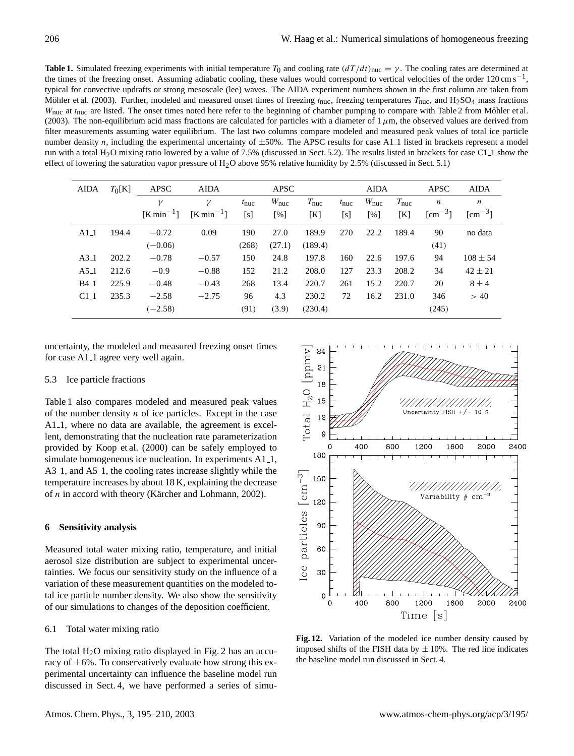**Table 1.** Simulated freezing experiments with initial temperature  $T_0$  and cooling rate  $(dT/dt)_{\text{nuc}} = \gamma$ . The cooling rates are determined at the times of the freezing onset. Assuming adiabatic cooling, these values would correspond to vertical velocities of the order 120 cm s<sup>-1</sup>, typical for convective updrafts or strong mesoscale (lee) waves. The AIDA experiment numbers shown in the first column are taken from Möhler et al. (2003). Further, modeled and measured onset times of freezing  $t_{\text{nuc}}$ , freezing temperatures  $T_{\text{nuc}}$ , and  $H_2SO_4$  mass fractions  $W_{\text{nuc}}$  at  $t_{\text{nuc}}$  are listed. The onset times noted here refer to the beginning of chamber pumping to compare with Table 2 from Möhler et al. (2003). The non-equilibrium acid mass fractions are calculated for particles with a diameter of  $1 \mu$ m, the observed values are derived from filter measurements assuming water equilibrium. The last two columns compare modeled and measured peak values of total ice particle number density n, including the experimental uncertainty of  $\pm 50\%$ . The APSC results for case A1.1 listed in brackets represent a model run with a total H<sub>2</sub>O mixing ratio lowered by a value of 7.5% (discussed in Sect. 5.2). The results listed in brackets for case C1<sub>-1</sub> show the effect of lowering the saturation vapor pressure of H2O above 95% relative humidity by 2.5% (discussed in Sect. 5.1)

| <b>AIDA</b> | $T_0[K]$ | <b>APSC</b>    | <b>AIDA</b>    | <b>APSC</b>   |                   | <b>AIDA</b>      |               |                    | <b>APSC</b>      | <b>AIDA</b>          |                       |
|-------------|----------|----------------|----------------|---------------|-------------------|------------------|---------------|--------------------|------------------|----------------------|-----------------------|
|             |          | γ              | $\gamma$       | $t_{\rm nuc}$ | $W_{\text{nuc}}$  | $T_{\text{nuc}}$ | $t_{\rm nuc}$ | $W_{\text{nuc}}$   | $T_{\text{nuc}}$ | $\boldsymbol{n}$     | $\boldsymbol{n}$      |
|             |          | $[K min^{-1}]$ | $[K min^{-1}]$ | [s]           | $\lceil\% \rceil$ | [K]              | [s]           | $\lceil \% \rceil$ | [K]              | $\mathrm{[cm^{-3}]}$ | $\mathrm{[cm^{-3}}$ ] |
| $A1-1$      | 194.4    | $-0.72$        | 0.09           | 190           | 27.0              | 189.9            | 270           | 22.2               | 189.4            | 90                   | no data               |
|             |          | $(-0.06)$      |                | (268)         | (27.1)            | (189.4)          |               |                    |                  | (41)                 |                       |
| $A3-1$      | 202.2    | $-0.78$        | $-0.57$        | 150           | 24.8              | 197.8            | 160           | 22.6               | 197.6            | 94                   | $108 \pm 54$          |
| $A5-1$      | 212.6    | $-0.9$         | $-0.88$        | 152           | 21.2              | 208.0            | 127           | 23.3               | 208.2            | 34                   | $42 \pm 21$           |
| $B4_1$      | 225.9    | $-0.48$        | $-0.43$        | 268           | 13.4              | 220.7            | 261           | 15.2               | 220.7            | 20                   | $8 \pm 4$             |
| $C1-1$      | 235.3    | $-2.58$        | $-2.75$        | 96            | 4.3               | 230.2            | 72            | 16.2               | 231.0            | 346                  | > 40                  |
|             |          | $(-2.58)$      |                | (91)          | (3.9)             | (230.4)          |               |                    |                  | (245)                |                       |

uncertainty, the modeled and measured freezing onset times for case A1<sub>-1</sub> agree very well again.

#### 5.3 Ice particle fractions

Table 1 also compares modeled and measured peak values of the number density  $n$  of ice particles. Except in the case A1<sub>-1</sub>, where no data are available, the agreement is excellent, demonstrating that the nucleation rate parameterization provided by Koop et al. (2000) can be safely employed to simulate homogeneous ice nucleation. In experiments A1<sub>-1</sub>, A3<sub>-1</sub>, and A5<sub>-1</sub>, the cooling rates increase slightly while the temperature increases by about 18 K, explaining the decrease of  $n$  in accord with theory (Kärcher and Lohmann, 2002).

## **6 Sensitivity analysis**

Measured total water mixing ratio, temperature, and initial aerosol size distribution are subject to experimental uncertainties. We focus our sensitivity study on the influence of a variation of these measurement quantities on the modeled total ice particle number density. We also show the sensitivity of our simulations to changes of the deposition coefficient.

## 6.1 Total water mixing ratio

The total  $H_2O$  mixing ratio displayed in Fig. 2 has an accuracy of  $\pm 6\%$ . To conservatively evaluate how strong this experimental uncertainty can influence the baseline model run discussed in Sect. 4, we have performed a series of simu-



**Fig. 12.** Variation of the modeled ice number density caused by imposed shifts of the FISH data by  $\pm 10\%$ . The red line indicates the baseline model run discussed in Sect. 4.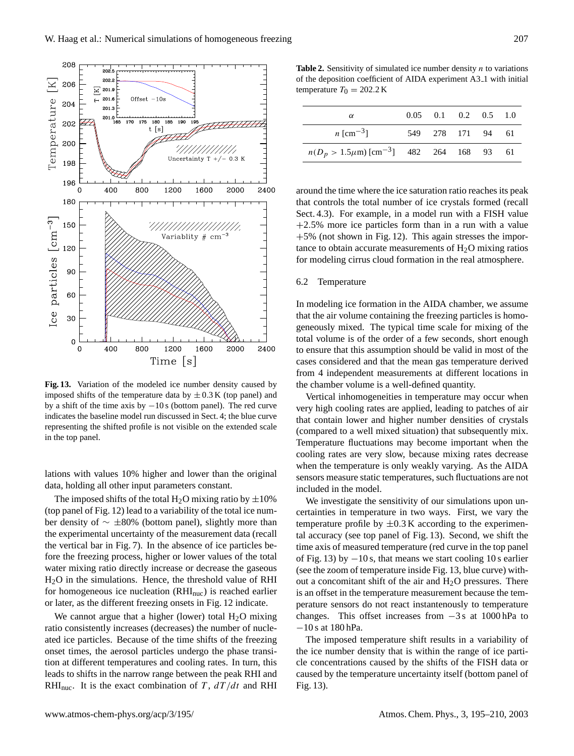

**Fig. 13.** Variation of the modeled ice number density caused by imposed shifts of the temperature data by  $\pm$  0.3 K (top panel) and by a shift of the time axis by  $-10$  s (bottom panel). The red curve indicates the baseline model run discussed in Sect. 4; the blue curve representing the shifted profile is not visible on the extended scale in the top panel.

lations with values 10% higher and lower than the original data, holding all other input parameters constant.

The imposed shifts of the total  $H_2O$  mixing ratio by  $\pm 10\%$ (top panel of Fig. 12) lead to a variability of the total ice number density of ∼ ±80% (bottom panel), slightly more than the experimental uncertainty of the measurement data (recall the vertical bar in Fig. 7). In the absence of ice particles before the freezing process, higher or lower values of the total water mixing ratio directly increase or decrease the gaseous H2O in the simulations. Hence, the threshold value of RHI for homogeneous ice nucleation  $(RHI<sub>nuc</sub>)$  is reached earlier or later, as the different freezing onsets in Fig. 12 indicate.

We cannot argue that a higher (lower) total  $H<sub>2</sub>O$  mixing ratio consistently increases (decreases) the number of nucleated ice particles. Because of the time shifts of the freezing onset times, the aerosol particles undergo the phase transition at different temperatures and cooling rates. In turn, this leads to shifts in the narrow range between the peak RHI and RHI<sub>nuc</sub>. It is the exact combination of T,  $dT/dt$  and RHI

**Table 2.** Sensitivity of simulated ice number density  $n$  to variations of the deposition coefficient of AIDA experiment A3 1 with initial temperature  $T_0 = 202.2 \text{ K}$ 

| $\alpha$                                                          | $0.05$ 0.1 0.2 0.5 1.0 |  |  |
|-------------------------------------------------------------------|------------------------|--|--|
| <i>n</i> [cm <sup>-3</sup> ]                                      | 549 278 171 94 61      |  |  |
| $n(D_p > 1.5 \mu \text{m})$ [cm <sup>-3</sup> ] 482 264 168 93 61 |                        |  |  |

around the time where the ice saturation ratio reaches its peak that controls the total number of ice crystals formed (recall Sect. 4.3). For example, in a model run with a FISH value +2.5% more ice particles form than in a run with a value +5% (not shown in Fig. 12). This again stresses the importance to obtain accurate measurements of  $H_2O$  mixing ratios for modeling cirrus cloud formation in the real atmosphere.

# 6.2 Temperature

In modeling ice formation in the AIDA chamber, we assume that the air volume containing the freezing particles is homogeneously mixed. The typical time scale for mixing of the total volume is of the order of a few seconds, short enough to ensure that this assumption should be valid in most of the cases considered and that the mean gas temperature derived from 4 independent measurements at different locations in the chamber volume is a well-defined quantity.

Vertical inhomogeneities in temperature may occur when very high cooling rates are applied, leading to patches of air that contain lower and higher number densities of crystals (compared to a well mixed situation) that subsequently mix. Temperature fluctuations may become important when the cooling rates are very slow, because mixing rates decrease when the temperature is only weakly varying. As the AIDA sensors measure static temperatures, such fluctuations are not included in the model.

We investigate the sensitivity of our simulations upon uncertainties in temperature in two ways. First, we vary the temperature profile by  $\pm 0.3$  K according to the experimental accuracy (see top panel of Fig. 13). Second, we shift the time axis of measured temperature (red curve in the top panel of Fig. 13) by  $-10$  s, that means we start cooling 10 s earlier (see the zoom of temperature inside Fig. 13, blue curve) without a concomitant shift of the air and  $H<sub>2</sub>O$  pressures. There is an offset in the temperature measurement because the temperature sensors do not react instantenously to temperature changes. This offset increases from −3 s at 1000 hPa to −10 s at 180 hPa.

The imposed temperature shift results in a variability of the ice number density that is within the range of ice particle concentrations caused by the shifts of the FISH data or caused by the temperature uncertainty itself (bottom panel of Fig. 13).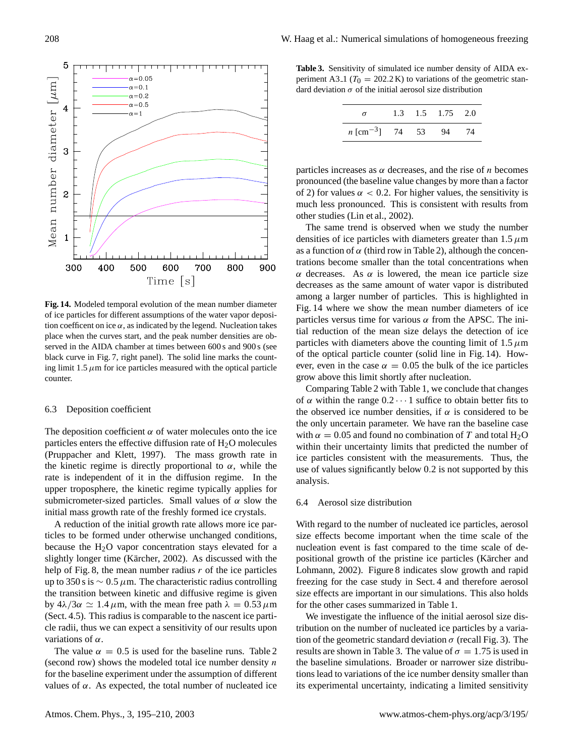

**Fig. 14.** Modeled temporal evolution of the mean number diameter of ice particles for different assumptions of the water vapor deposition coefficent on ice  $\alpha$ , as indicated by the legend. Nucleation takes place when the curves start, and the peak number densities are observed in the AIDA chamber at times between 600 s and 900 s (see black curve in Fig. 7, right panel). The solid line marks the counting limit 1.5  $\mu$ m for ice particles measured with the optical particle counter.

## 6.3 Deposition coefficient

The deposition coefficient  $\alpha$  of water molecules onto the ice particles enters the effective diffusion rate of  $H_2O$  molecules (Pruppacher and Klett, 1997). The mass growth rate in the kinetic regime is directly proportional to  $\alpha$ , while the rate is independent of it in the diffusion regime. In the upper troposphere, the kinetic regime typically applies for submicrometer-sized particles. Small values of  $\alpha$  slow the initial mass growth rate of the freshly formed ice crystals.

A reduction of the initial growth rate allows more ice particles to be formed under otherwise unchanged conditions, because the  $H<sub>2</sub>O$  vapor concentration stays elevated for a slightly longer time (Kärcher, 2002). As discussed with the help of Fig. 8, the mean number radius  $r$  of the ice particles up to 350 s is  $\sim 0.5 \mu$ m. The characteristic radius controlling the transition between kinetic and diffusive regime is given by  $4\lambda/3\alpha \simeq 1.4 \,\mu$ m, with the mean free path  $\lambda = 0.53 \,\mu$ m (Sect. 4.5). This radius is comparable to the nascent ice particle radii, thus we can expect a sensitivity of our results upon variations of  $\alpha$ .

The value  $\alpha = 0.5$  is used for the baseline runs. Table 2 (second row) shows the modeled total ice number density  $n$ for the baseline experiment under the assumption of different values of α. As expected, the total number of nucleated ice

**Table 3.** Sensitivity of simulated ice number density of AIDA experiment A3<sub>-1</sub> ( $T_0 = 202.2$  K) to variations of the geometric standard deviation  $\sigma$  of the initial aerosol size distribution

|                                    |  | 1.3 1.5 1.75 2.0 |  |
|------------------------------------|--|------------------|--|
| $n \text{ [cm}^{-3}\text{]}$ 74 53 |  | 94               |  |

particles increases as  $\alpha$  decreases, and the rise of *n* becomes pronounced (the baseline value changes by more than a factor of 2) for values  $\alpha < 0.2$ . For higher values, the sensitivity is much less pronounced. This is consistent with results from other studies (Lin et al., 2002).

The same trend is observed when we study the number densities of ice particles with diameters greater than  $1.5 \mu m$ as a function of  $\alpha$  (third row in Table 2), although the concentrations become smaller than the total concentrations when α decreases. As α is lowered, the mean ice particle size decreases as the same amount of water vapor is distributed among a larger number of particles. This is highlighted in Fig. 14 where we show the mean number diameters of ice particles versus time for various  $\alpha$  from the APSC. The initial reduction of the mean size delays the detection of ice particles with diameters above the counting limit of  $1.5 \mu m$ of the optical particle counter (solid line in Fig. 14). However, even in the case  $\alpha = 0.05$  the bulk of the ice particles grow above this limit shortly after nucleation.

Comparing Table 2 with Table 1, we conclude that changes of  $\alpha$  within the range  $0.2 \cdots 1$  suffice to obtain better fits to the observed ice number densities, if  $\alpha$  is considered to be the only uncertain parameter. We have ran the baseline case with  $\alpha = 0.05$  and found no combination of T and total H<sub>2</sub>O within their uncertainty limits that predicted the number of ice particles consistent with the measurements. Thus, the use of values significantly below 0.2 is not supported by this analysis.

## 6.4 Aerosol size distribution

With regard to the number of nucleated ice particles, aerosol size effects become important when the time scale of the nucleation event is fast compared to the time scale of depositional growth of the pristine ice particles (Kärcher and Lohmann, 2002). Figure 8 indicates slow growth and rapid freezing for the case study in Sect. 4 and therefore aerosol size effects are important in our simulations. This also holds for the other cases summarized in Table 1.

We investigate the influence of the initial aerosol size distribution on the number of nucleated ice particles by a variation of the geometric standard deviation  $\sigma$  (recall Fig. 3). The results are shown in Table 3. The value of  $\sigma = 1.75$  is used in the baseline simulations. Broader or narrower size distributions lead to variations of the ice number density smaller than its experimental uncertainty, indicating a limited sensitivity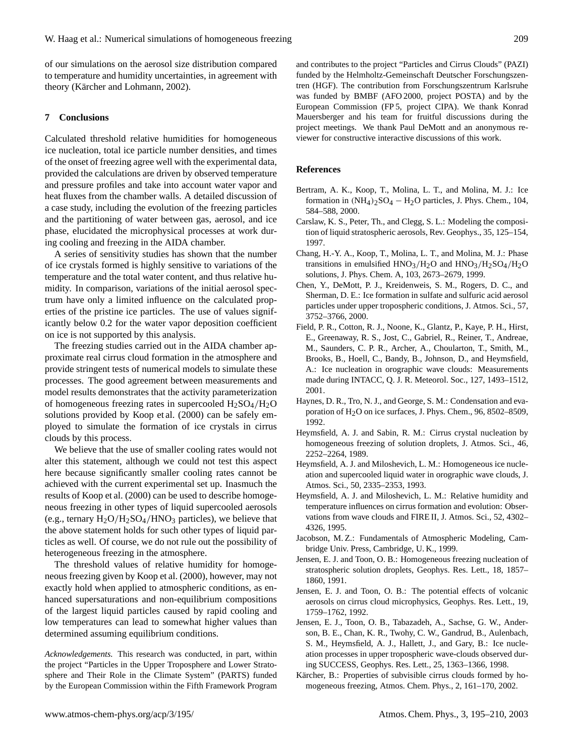of our simulations on the aerosol size distribution compared to temperature and humidity uncertainties, in agreement with theory (Kärcher and Lohmann, 2002).

## **7 Conclusions**

Calculated threshold relative humidities for homogeneous ice nucleation, total ice particle number densities, and times of the onset of freezing agree well with the experimental data, provided the calculations are driven by observed temperature and pressure profiles and take into account water vapor and heat fluxes from the chamber walls. A detailed discussion of a case study, including the evolution of the freezing particles and the partitioning of water between gas, aerosol, and ice phase, elucidated the microphysical processes at work during cooling and freezing in the AIDA chamber.

A series of sensitivity studies has shown that the number of ice crystals formed is highly sensitive to variations of the temperature and the total water content, and thus relative humidity. In comparison, variations of the initial aerosol spectrum have only a limited influence on the calculated properties of the pristine ice particles. The use of values significantly below 0.2 for the water vapor deposition coefficient on ice is not supported by this analysis.

The freezing studies carried out in the AIDA chamber approximate real cirrus cloud formation in the atmosphere and provide stringent tests of numerical models to simulate these processes. The good agreement between measurements and model results demonstrates that the activity parameterization of homogeneous freezing rates in supercooled  $H_2SO_4/H_2O$ solutions provided by Koop et al. (2000) can be safely employed to simulate the formation of ice crystals in cirrus clouds by this process.

We believe that the use of smaller cooling rates would not alter this statement, although we could not test this aspect here because significantly smaller cooling rates cannot be achieved with the current experimental set up. Inasmuch the results of Koop et al. (2000) can be used to describe homogeneous freezing in other types of liquid supercooled aerosols (e.g., ternary  $H_2O/H_2SO_4/HNO_3$  particles), we believe that the above statement holds for such other types of liquid particles as well. Of course, we do not rule out the possibility of heterogeneous freezing in the atmosphere.

The threshold values of relative humidity for homogeneous freezing given by Koop et al. (2000), however, may not exactly hold when applied to atmospheric conditions, as enhanced supersaturations and non-equilibrium compositions of the largest liquid particles caused by rapid cooling and low temperatures can lead to somewhat higher values than determined assuming equilibrium conditions.

*Acknowledgements.* This research was conducted, in part, within the project "Particles in the Upper Troposphere and Lower Stratosphere and Their Role in the Climate System" (PARTS) funded by the European Commission within the Fifth Framework Program and contributes to the project "Particles and Cirrus Clouds" (PAZI) funded by the Helmholtz-Gemeinschaft Deutscher Forschungszentren (HGF). The contribution from Forschungszentrum Karlsruhe was funded by BMBF (AFO 2000, project POSTA) and by the European Commission (FP 5, project CIPA). We thank Konrad Mauersberger and his team for fruitful discussions during the project meetings. We thank Paul DeMott and an anonymous reviewer for constructive interactive discussions of this work.

## **References**

- Bertram, A. K., Koop, T., Molina, L. T., and Molina, M. J.: Ice formation in  $(NH_4)_2SO_4 - H_2O$  particles, J. Phys. Chem., 104, 584–588, 2000.
- Carslaw, K. S., Peter, Th., and Clegg, S. L.: Modeling the composition of liquid stratospheric aerosols, Rev. Geophys., 35, 125–154, 1997.
- Chang, H.-Y. A., Koop, T., Molina, L. T., and Molina, M. J.: Phase transitions in emulsified  $HNO<sub>3</sub>/H<sub>2</sub>O$  and  $HNO<sub>3</sub>/H<sub>2</sub>SO<sub>4</sub>/H<sub>2</sub>O$ solutions, J. Phys. Chem. A, 103, 2673–2679, 1999.
- Chen, Y., DeMott, P. J., Kreidenweis, S. M., Rogers, D. C., and Sherman, D. E.: Ice formation in sulfate and sulfuric acid aerosol particles under upper tropospheric conditions, J. Atmos. Sci., 57, 3752–3766, 2000.
- Field, P. R., Cotton, R. J., Noone, K., Glantz, P., Kaye, P. H., Hirst, E., Greenaway, R. S., Jost, C., Gabriel, R., Reiner, T., Andreae, M., Saunders, C. P. R., Archer, A., Choularton, T., Smith, M., Brooks, B., Hoell, C., Bandy, B., Johnson, D., and Heymsfield, A.: Ice nucleation in orographic wave clouds: Measurements made during INTACC, Q. J. R. Meteorol. Soc., 127, 1493–1512, 2001.
- Haynes, D. R., Tro, N. J., and George, S. M.: Condensation and evaporation of  $H<sub>2</sub>O$  on ice surfaces, J. Phys. Chem., 96, 8502–8509, 1992.
- Heymsfield, A. J. and Sabin, R. M.: Cirrus crystal nucleation by homogeneous freezing of solution droplets, J. Atmos. Sci., 46, 2252–2264, 1989.
- Heymsfield, A. J. and Miloshevich, L. M.: Homogeneous ice nucleation and supercooled liquid water in orographic wave clouds, J. Atmos. Sci., 50, 2335–2353, 1993.
- Heymsfield, A. J. and Miloshevich, L. M.: Relative humidity and temperature influences on cirrus formation and evolution: Observations from wave clouds and FIRE II, J. Atmos. Sci., 52, 4302– 4326, 1995.
- Jacobson, M. Z.: Fundamentals of Atmospheric Modeling, Cambridge Univ. Press, Cambridge, U. K., 1999.
- Jensen, E. J. and Toon, O. B.: Homogeneous freezing nucleation of stratospheric solution droplets, Geophys. Res. Lett., 18, 1857– 1860, 1991.
- Jensen, E. J. and Toon, O. B.: The potential effects of volcanic aerosols on cirrus cloud microphysics, Geophys. Res. Lett., 19, 1759–1762, 1992.
- Jensen, E. J., Toon, O. B., Tabazadeh, A., Sachse, G. W., Anderson, B. E., Chan, K. R., Twohy, C. W., Gandrud, B., Aulenbach, S. M., Heymsfield, A. J., Hallett, J., and Gary, B.: Ice nucleation processes in upper tropospheric wave-clouds observed during SUCCESS, Geophys. Res. Lett., 25, 1363–1366, 1998.
- Kärcher, B.: Properties of subvisible cirrus clouds formed by homogeneous freezing, Atmos. Chem. Phys., 2, 161–170, 2002.